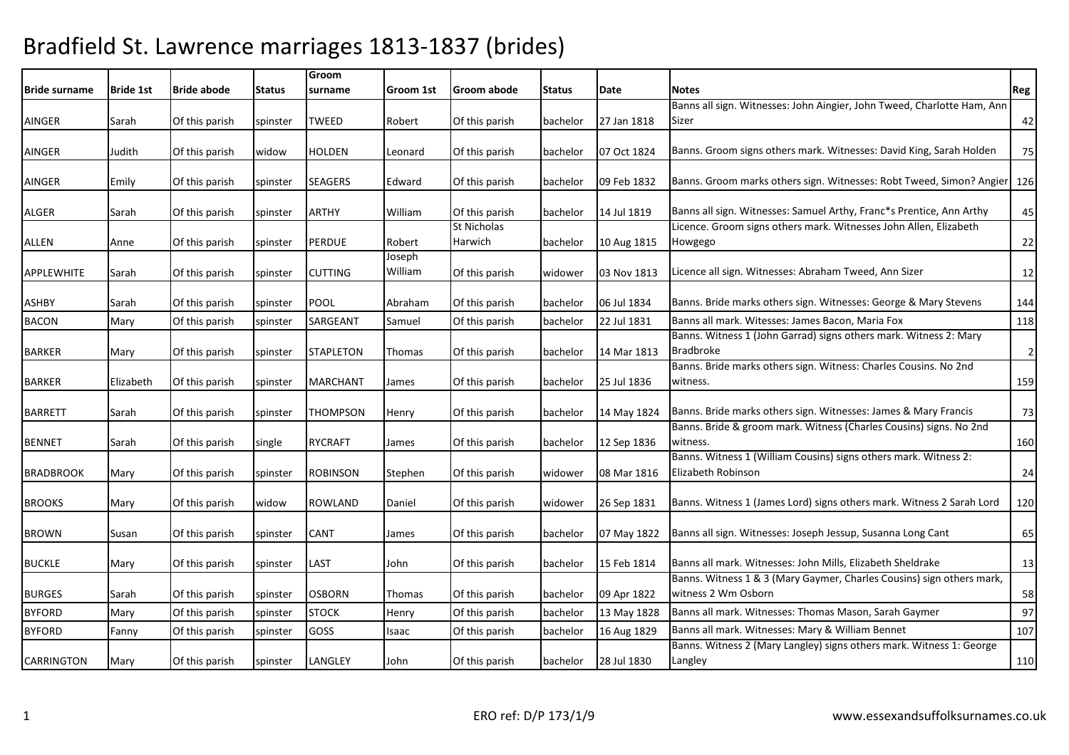| <b>Bride surname</b> | <b>Bride 1st</b> | <b>Bride abode</b> | <b>Status</b> | Groom<br>surname | Groom 1st         | Groom abode                   | <b>Status</b> | Date        | <b>Notes</b>                                                                                 | Reg            |
|----------------------|------------------|--------------------|---------------|------------------|-------------------|-------------------------------|---------------|-------------|----------------------------------------------------------------------------------------------|----------------|
|                      |                  |                    |               |                  |                   |                               |               |             | Banns all sign. Witnesses: John Aingier, John Tweed, Charlotte Ham, Ann                      |                |
| AINGER               | Sarah            | Of this parish     | spinster      | <b>TWEED</b>     | Robert            | Of this parish                | bachelor      | 27 Jan 1818 | Sizer                                                                                        | 42             |
| <b>AINGER</b>        | Judith           | Of this parish     | widow         | <b>HOLDEN</b>    | Leonard           | Of this parish                | bachelor      | 07 Oct 1824 | Banns. Groom signs others mark. Witnesses: David King, Sarah Holden                          | 75             |
| AINGER               | Emily            | Of this parish     | spinster      | <b>SEAGERS</b>   | Edward            | Of this parish                | bachelor      | 09 Feb 1832 | Banns. Groom marks others sign. Witnesses: Robt Tweed, Simon? Angier                         | 126            |
| ALGER                | Sarah            | Of this parish     | spinster      | <b>ARTHY</b>     | William           | Of this parish                | bachelor      | 14 Jul 1819 | Banns all sign. Witnesses: Samuel Arthy, Franc*s Prentice, Ann Arthy                         | 45             |
| ALLEN                | Anne             | Of this parish     | spinster      | <b>PERDUE</b>    | Robert            | <b>St Nicholas</b><br>Harwich | bachelor      | 10 Aug 1815 | Licence. Groom signs others mark. Witnesses John Allen, Elizabeth<br>Howgego                 | 22             |
| APPLEWHITE           | Sarah            | Of this parish     | spinster      | <b>CUTTING</b>   | Joseph<br>William | Of this parish                | widower       | 03 Nov 1813 | Licence all sign. Witnesses: Abraham Tweed, Ann Sizer                                        | 12             |
| ASHBY                | Sarah            | Of this parish     | spinster      | <b>POOL</b>      | Abraham           | Of this parish                | bachelor      | 06 Jul 1834 | Banns. Bride marks others sign. Witnesses: George & Mary Stevens                             | 144            |
| <b>BACON</b>         | Mary             | Of this parish     | spinster      | SARGEANT         | Samuel            | Of this parish                | bachelor      | 22 Jul 1831 | Banns all mark. Witesses: James Bacon, Maria Fox                                             | 118            |
| <b>BARKER</b>        | Mary             | Of this parish     | spinster      | <b>STAPLETON</b> | Thomas            | Of this parish                | bachelor      | 14 Mar 1813 | Banns. Witness 1 (John Garrad) signs others mark. Witness 2: Mary<br><b>Bradbroke</b>        | $\overline{2}$ |
| <b>BARKER</b>        | Elizabeth        | Of this parish     | spinster      | <b>MARCHANT</b>  | James             | Of this parish                | bachelor      | 25 Jul 1836 | Banns. Bride marks others sign. Witness: Charles Cousins. No 2nd<br>witness.                 | 159            |
| <b>BARRETT</b>       | Sarah            | Of this parish     | spinster      | <b>THOMPSON</b>  | Henry             | Of this parish                | bachelor      | 14 May 1824 | Banns. Bride marks others sign. Witnesses: James & Mary Francis                              | 73             |
| <b>BENNET</b>        | Sarah            | Of this parish     | single        | <b>RYCRAFT</b>   | James             | Of this parish                | bachelor      | 12 Sep 1836 | Banns. Bride & groom mark. Witness (Charles Cousins) signs. No 2nd<br>witness.               | 160            |
| <b>BRADBROOK</b>     | Mary             | Of this parish     | spinster      | <b>ROBINSON</b>  | Stephen           | Of this parish                | widower       | 08 Mar 1816 | Banns. Witness 1 (William Cousins) signs others mark. Witness 2:<br>Elizabeth Robinson       | 24             |
| <b>BROOKS</b>        | Mary             | Of this parish     | widow         | <b>ROWLAND</b>   | Daniel            | Of this parish                | widower       | 26 Sep 1831 | Banns. Witness 1 (James Lord) signs others mark. Witness 2 Sarah Lord                        | 120            |
| <b>BROWN</b>         | Susan            | Of this parish     | spinster      | <b>CANT</b>      | James             | Of this parish                | bachelor      | 07 May 1822 | Banns all sign. Witnesses: Joseph Jessup, Susanna Long Cant                                  | 65             |
| <b>BUCKLE</b>        | Mary             | Of this parish     | spinster      | LAST             | John              | Of this parish                | bachelor      | 15 Feb 1814 | Banns all mark. Witnesses: John Mills, Elizabeth Sheldrake                                   | 13             |
| <b>BURGES</b>        | Sarah            | Of this parish     | spinster      | <b>OSBORN</b>    | Thomas            | Of this parish                | bachelor      | 09 Apr 1822 | Banns. Witness 1 & 3 (Mary Gaymer, Charles Cousins) sign others mark,<br>witness 2 Wm Osborn | 58             |
| <b>BYFORD</b>        | Mary             | Of this parish     | spinster      | <b>STOCK</b>     | Henry             | Of this parish                | bachelor      | 13 May 1828 | Banns all mark. Witnesses: Thomas Mason, Sarah Gaymer                                        | 97             |
| <b>BYFORD</b>        | Fanny            | Of this parish     | spinster      | <b>GOSS</b>      | Isaac             | Of this parish                | bachelor      | 16 Aug 1829 | Banns all mark. Witnesses: Mary & William Bennet                                             | 107            |
| <b>CARRINGTON</b>    | Mary             | Of this parish     | spinster      | LANGLEY          | John              | Of this parish                | bachelor      | 28 Jul 1830 | Banns. Witness 2 (Mary Langley) signs others mark. Witness 1: George<br>Langley              | 110            |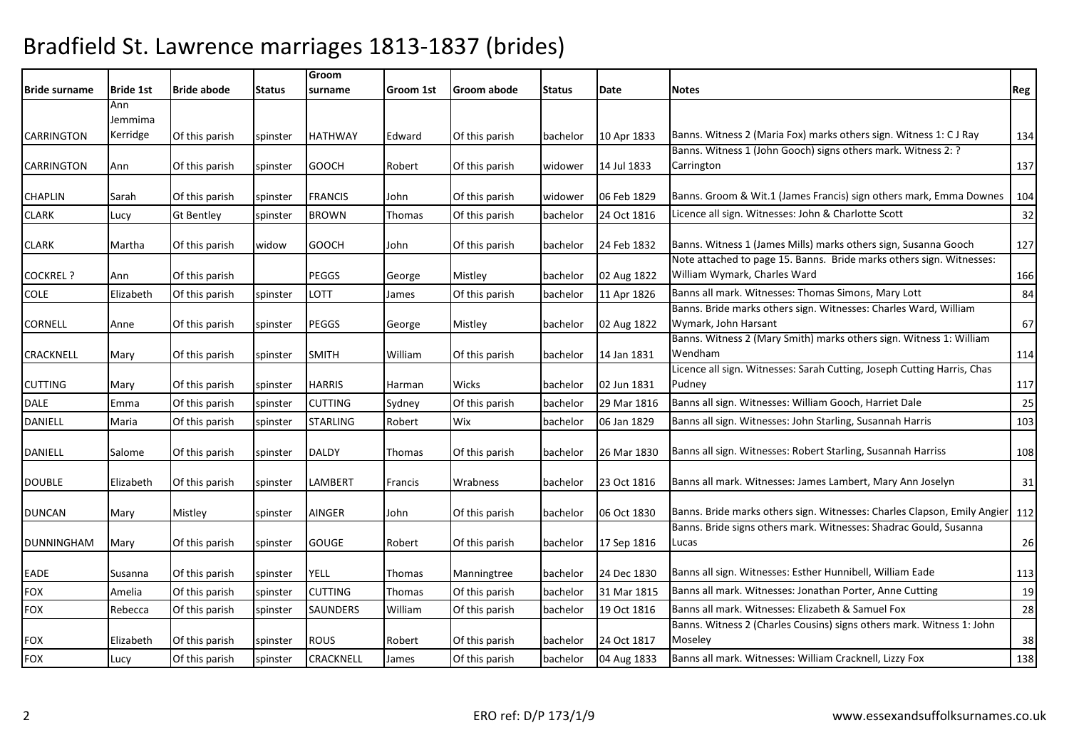| <b>Bride surname</b> | <b>Bride 1st</b> | <b>Bride abode</b> | <b>Status</b> | Groom<br>surname | Groom 1st | Groom abode    | <b>Status</b> | Date        | <b>Notes</b>                                                                      | Reg |
|----------------------|------------------|--------------------|---------------|------------------|-----------|----------------|---------------|-------------|-----------------------------------------------------------------------------------|-----|
|                      | Ann<br>Jemmima   |                    |               |                  |           |                |               |             |                                                                                   |     |
| <b>CARRINGTON</b>    | Kerridge         | Of this parish     | spinster      | <b>HATHWAY</b>   | Edward    | Of this parish | bachelor      | 10 Apr 1833 | Banns. Witness 2 (Maria Fox) marks others sign. Witness 1: C J Ray                | 134 |
|                      |                  |                    |               |                  |           |                |               |             | Banns. Witness 1 (John Gooch) signs others mark. Witness 2: ?                     |     |
| <b>CARRINGTON</b>    | Ann              | Of this parish     | spinster      | <b>GOOCH</b>     | Robert    | Of this parish | widower       | 14 Jul 1833 | Carrington                                                                        | 137 |
| <b>CHAPLIN</b>       | Sarah            | Of this parish     | spinster      | <b>FRANCIS</b>   | John      | Of this parish | widower       | 06 Feb 1829 | Banns. Groom & Wit.1 (James Francis) sign others mark, Emma Downes                | 104 |
| <b>CLARK</b>         | Lucy             | <b>Gt Bentley</b>  | spinster      | <b>BROWN</b>     | Thomas    | Of this parish | bachelor      | 24 Oct 1816 | Licence all sign. Witnesses: John & Charlotte Scott                               | 32  |
| <b>CLARK</b>         | Martha           | Of this parish     | widow         | <b>GOOCH</b>     | John      | Of this parish | bachelor      | 24 Feb 1832 | Banns. Witness 1 (James Mills) marks others sign, Susanna Gooch                   | 127 |
|                      |                  |                    |               |                  |           |                |               |             | Note attached to page 15. Banns. Bride marks others sign. Witnesses:              |     |
| <b>COCKREL ?</b>     | Ann              | Of this parish     |               | PEGGS            | George    | Mistley        | bachelor      | 02 Aug 1822 | William Wymark, Charles Ward                                                      | 166 |
| <b>COLE</b>          | Elizabeth        | Of this parish     | spinster      | LOTT             | James     | Of this parish | bachelor      | 11 Apr 1826 | Banns all mark. Witnesses: Thomas Simons, Mary Lott                               | 84  |
|                      |                  |                    |               |                  |           |                |               |             | Banns. Bride marks others sign. Witnesses: Charles Ward, William                  |     |
| CORNELL              | Anne             | Of this parish     | spinster      | <b>PEGGS</b>     | George    | Mistley        | bachelor      | 02 Aug 1822 | Wymark, John Harsant                                                              | 67  |
| CRACKNELL            | Mary             | Of this parish     | spinster      | <b>SMITH</b>     | William   | Of this parish | bachelor      | 14 Jan 1831 | Banns. Witness 2 (Mary Smith) marks others sign. Witness 1: William<br>Wendham    | 114 |
| <b>CUTTING</b>       | Mary             | Of this parish     | spinster      | <b>HARRIS</b>    | Harman    | Wicks          | bachelor      | 02 Jun 1831 | Licence all sign. Witnesses: Sarah Cutting, Joseph Cutting Harris, Chas<br>Pudney | 117 |
| <b>DALE</b>          | Emma             | Of this parish     | spinster      | <b>CUTTING</b>   | Sydney    | Of this parish | bachelor      | 29 Mar 1816 | Banns all sign. Witnesses: William Gooch, Harriet Dale                            | 25  |
| DANIELL              | Maria            | Of this parish     | spinster      | <b>STARLING</b>  | Robert    | Wix            | bachelor      | 06 Jan 1829 | Banns all sign. Witnesses: John Starling, Susannah Harris                         | 103 |
| DANIELL              | Salome           | Of this parish     | spinster      | <b>DALDY</b>     | Thomas    | Of this parish | bachelor      | 26 Mar 1830 | Banns all sign. Witnesses: Robert Starling, Susannah Harriss                      | 108 |
| <b>DOUBLE</b>        | Elizabeth        | Of this parish     | spinster      | <b>LAMBERT</b>   | Francis   | Wrabness       | bachelor      | 23 Oct 1816 | Banns all mark. Witnesses: James Lambert, Mary Ann Joselyn                        | 31  |
| <b>DUNCAN</b>        | Mary             | Mistley            | spinster      | AINGER           | John      | Of this parish | bachelor      | 06 Oct 1830 | Banns. Bride marks others sign. Witnesses: Charles Clapson, Emily Angier 112      |     |
| <b>DUNNINGHAM</b>    | Mary             | Of this parish     | spinster      | <b>GOUGE</b>     | Robert    | Of this parish | bachelor      | 17 Sep 1816 | Banns. Bride signs others mark. Witnesses: Shadrac Gould, Susanna<br>Lucas        | 26  |
| EADE                 | Susanna          | Of this parish     | spinster      | <b>YELL</b>      | Thomas    | Manningtree    | bachelor      | 24 Dec 1830 | Banns all sign. Witnesses: Esther Hunnibell, William Eade                         | 113 |
| <b>FOX</b>           | Amelia           | Of this parish     | spinster      | <b>CUTTING</b>   | Thomas    | Of this parish | bachelor      | 31 Mar 1815 | Banns all mark. Witnesses: Jonathan Porter, Anne Cutting                          | 19  |
| <b>FOX</b>           | Rebecca          | Of this parish     | spinster      | SAUNDERS         | William   | Of this parish | bachelor      | 19 Oct 1816 | Banns all mark. Witnesses: Elizabeth & Samuel Fox                                 | 28  |
| <b>FOX</b>           | Elizabeth        | Of this parish     | spinster      | <b>ROUS</b>      | Robert    | Of this parish | bachelor      | 24 Oct 1817 | Banns. Witness 2 (Charles Cousins) signs others mark. Witness 1: John<br>Moseley  | 38  |
| <b>FOX</b>           | Lucy             | Of this parish     | spinster      | CRACKNELL        | James     | Of this parish | bachelor      | 04 Aug 1833 | Banns all mark. Witnesses: William Cracknell, Lizzy Fox                           | 138 |
|                      |                  |                    |               |                  |           |                |               |             |                                                                                   |     |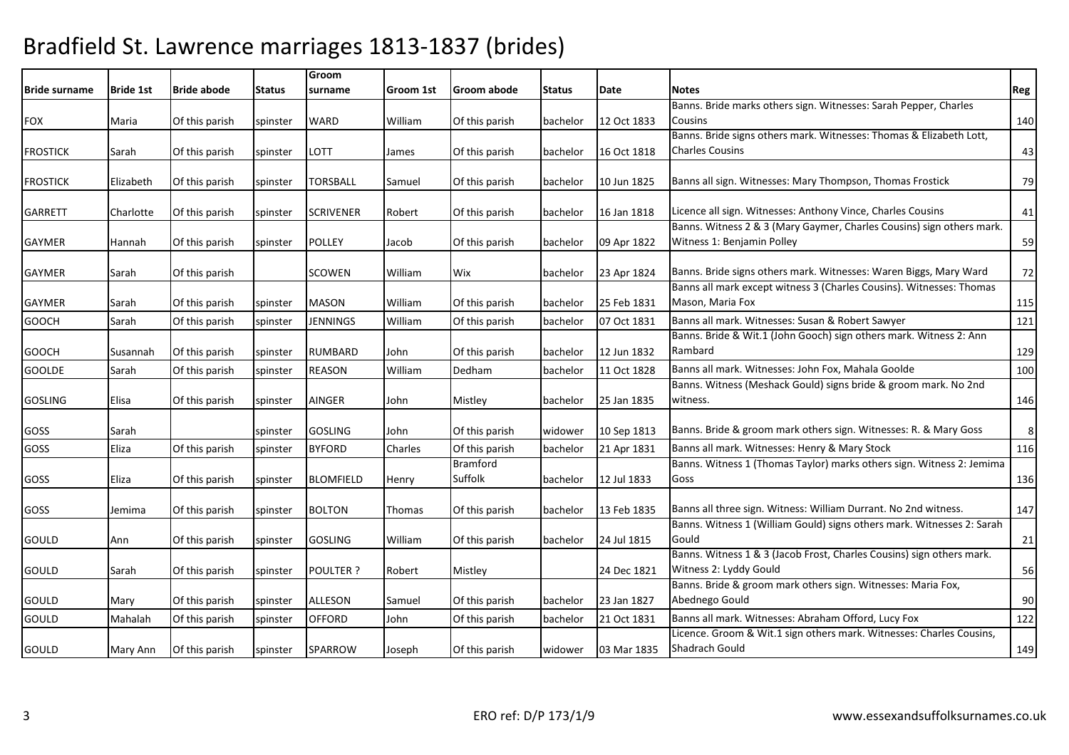| <b>IBride surname</b> | <b>Bride 1st</b> | <b>Bride abode</b> | <b>Status</b> | Groom<br>surname | Groom 1st | Groom abode                | <b>Status</b> | Date        | <b>Notes</b>                                                                                        | Reg |
|-----------------------|------------------|--------------------|---------------|------------------|-----------|----------------------------|---------------|-------------|-----------------------------------------------------------------------------------------------------|-----|
|                       |                  |                    |               |                  |           |                            |               |             | Banns. Bride marks others sign. Witnesses: Sarah Pepper, Charles                                    |     |
| <b>FOX</b>            | Maria            | Of this parish     | spinster      | WARD             | William   | Of this parish             | bachelor      | 12 Oct 1833 | Cousins                                                                                             | 140 |
|                       |                  |                    |               |                  |           |                            |               |             | Banns. Bride signs others mark. Witnesses: Thomas & Elizabeth Lott,                                 |     |
| <b>FROSTICK</b>       | Sarah            | Of this parish     | spinster      | LOTT             | James     | Of this parish             | bachelor      | 16 Oct 1818 | <b>Charles Cousins</b>                                                                              | 43  |
| <b>FROSTICK</b>       | Elizabeth        | Of this parish     | spinster      | TORSBALL         | Samuel    | Of this parish             | bachelor      | 10 Jun 1825 | Banns all sign. Witnesses: Mary Thompson, Thomas Frostick                                           | 79  |
| <b>GARRETT</b>        | Charlotte        | Of this parish     | spinster      | <b>SCRIVENER</b> | Robert    | Of this parish             | bachelor      | 16 Jan 1818 | Licence all sign. Witnesses: Anthony Vince, Charles Cousins                                         | 41  |
| <b>GAYMER</b>         | Hannah           | Of this parish     | spinster      | <b>POLLEY</b>    | Jacob     | Of this parish             | bachelor      | 09 Apr 1822 | Banns. Witness 2 & 3 (Mary Gaymer, Charles Cousins) sign others mark.<br>Witness 1: Benjamin Polley | 59  |
| <b>GAYMER</b>         | Sarah            | Of this parish     |               | <b>SCOWEN</b>    | William   | Wix                        | bachelor      | 23 Apr 1824 | Banns. Bride signs others mark. Witnesses: Waren Biggs, Mary Ward                                   | 72  |
| <b>GAYMER</b>         | Sarah            | Of this parish     | spinster      | <b>MASON</b>     | William   | Of this parish             | bachelor      | 25 Feb 1831 | Banns all mark except witness 3 (Charles Cousins). Witnesses: Thomas<br>Mason, Maria Fox            | 115 |
| <b>GOOCH</b>          | Sarah            | Of this parish     | spinster      | <b>JENNINGS</b>  | William   | Of this parish             | bachelor      | 07 Oct 1831 | Banns all mark. Witnesses: Susan & Robert Sawyer                                                    | 121 |
| <b>GOOCH</b>          | Susannah         | Of this parish     | spinster      | <b>RUMBARD</b>   | John      | Of this parish             | bachelor      | 12 Jun 1832 | Banns. Bride & Wit.1 (John Gooch) sign others mark. Witness 2: Ann<br>Rambard                       | 129 |
| <b>GOOLDE</b>         | Sarah            | Of this parish     | spinster      | <b>REASON</b>    | William   | Dedham                     | bachelor      | 11 Oct 1828 | Banns all mark. Witnesses: John Fox, Mahala Goolde                                                  | 100 |
| <b>GOSLING</b>        | Elisa            | Of this parish     | spinster      | <b>AINGER</b>    | John      | Mistley                    | bachelor      | 25 Jan 1835 | Banns. Witness (Meshack Gould) signs bride & groom mark. No 2nd<br>witness.                         | 146 |
| GOSS                  | Sarah            |                    | spinster      | <b>GOSLING</b>   | John      | Of this parish             | widower       | 10 Sep 1813 | Banns. Bride & groom mark others sign. Witnesses: R. & Mary Goss                                    | 8   |
| GOSS                  | Eliza            | Of this parish     | spinster      | <b>BYFORD</b>    | Charles   | Of this parish             | bachelor      | 21 Apr 1831 | Banns all mark. Witnesses: Henry & Mary Stock                                                       | 116 |
| GOSS                  | Eliza            | Of this parish     | spinster      | <b>BLOMFIELD</b> | Henry     | <b>Bramford</b><br>Suffolk | bachelor      | 12 Jul 1833 | Banns. Witness 1 (Thomas Taylor) marks others sign. Witness 2: Jemima<br>Goss                       | 136 |
| GOSS                  | Jemima           | Of this parish     | spinster      | <b>BOLTON</b>    | Thomas    | Of this parish             | bachelor      | 13 Feb 1835 | Banns all three sign. Witness: William Durrant. No 2nd witness.                                     | 147 |
| GOULD                 | Ann              | Of this parish     | spinster      | <b>GOSLING</b>   | William   | Of this parish             | bachelor      | 24 Jul 1815 | Banns. Witness 1 (William Gould) signs others mark. Witnesses 2: Sarah<br>Gould                     | 21  |
|                       |                  |                    |               |                  |           |                            |               |             | Banns. Witness 1 & 3 (Jacob Frost, Charles Cousins) sign others mark.                               |     |
| GOULD                 | Sarah            | Of this parish     | spinster      | <b>POULTER ?</b> | Robert    | Mistley                    |               | 24 Dec 1821 | Witness 2: Lyddy Gould<br>Banns. Bride & groom mark others sign. Witnesses: Maria Fox,              | 56  |
| GOULD                 | Mary             | Of this parish     | spinster      | <b>ALLESON</b>   | Samuel    | Of this parish             | bachelor      | 23 Jan 1827 | Abednego Gould                                                                                      | 90  |
| GOULD                 | Mahalah          | Of this parish     | spinster      | <b>OFFORD</b>    | John      | Of this parish             | bachelor      | 21 Oct 1831 | Banns all mark. Witnesses: Abraham Offord, Lucy Fox                                                 | 122 |
| GOULD                 | Mary Ann         | Of this parish     | spinster      | <b>SPARROW</b>   | Joseph    | Of this parish             | widower       | 03 Mar 1835 | Licence. Groom & Wit.1 sign others mark. Witnesses: Charles Cousins,<br>Shadrach Gould              | 149 |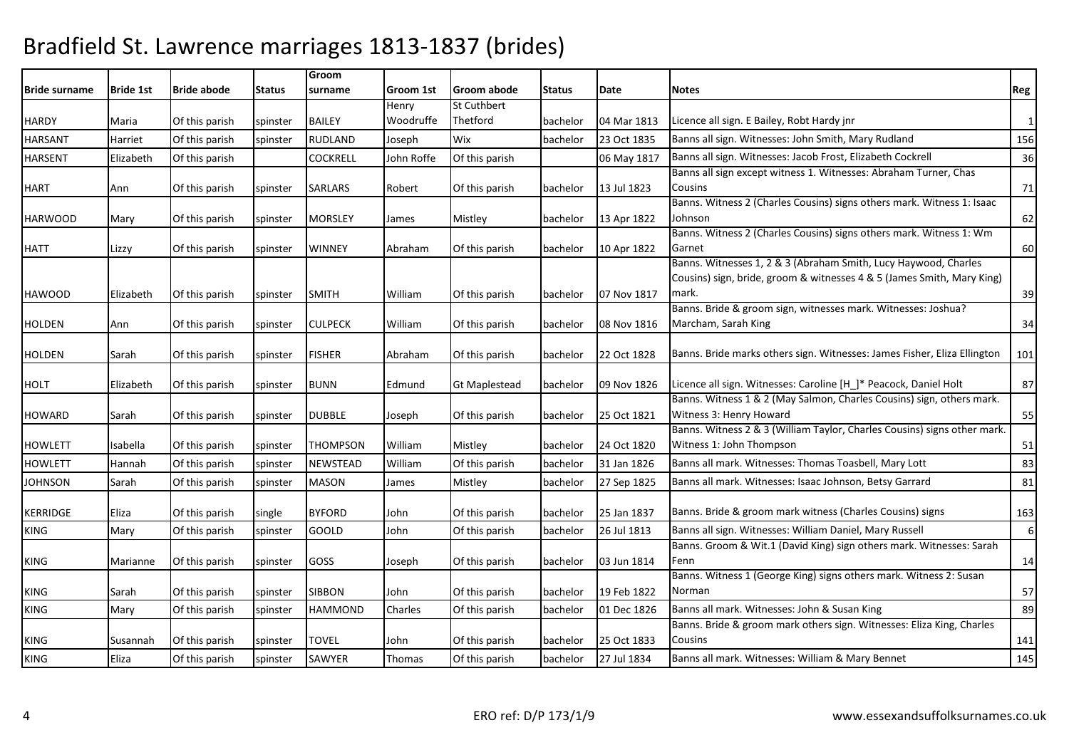| <b>Bride surname</b> | <b>Bride 1st</b> | <b>Bride abode</b> | Status   | Groom<br>surname | Groom 1st  | <b>Groom abode</b>   | <b>Status</b> | Date        | <b>Notes</b>                                                             | Reg |
|----------------------|------------------|--------------------|----------|------------------|------------|----------------------|---------------|-------------|--------------------------------------------------------------------------|-----|
|                      |                  |                    |          |                  | Henry      | St Cuthbert          |               |             |                                                                          |     |
| <b>HARDY</b>         | Maria            | Of this parish     | spinster | <b>BAILEY</b>    | Woodruffe  | Thetford             | bachelor      | 04 Mar 1813 | Licence all sign. E Bailey, Robt Hardy jnr                               | 1   |
| <b>HARSANT</b>       | Harriet          | Of this parish     | spinster | RUDLAND          | Joseph     | Wix                  | bachelor      | 23 Oct 1835 | Banns all sign. Witnesses: John Smith, Mary Rudland                      | 156 |
| <b>HARSENT</b>       | Elizabeth        | Of this parish     |          | <b>COCKRELL</b>  | John Roffe | Of this parish       |               | 06 May 1817 | Banns all sign. Witnesses: Jacob Frost, Elizabeth Cockrell               | 36  |
|                      |                  |                    |          |                  |            |                      |               |             | Banns all sign except witness 1. Witnesses: Abraham Turner, Chas         |     |
| <b>HART</b>          | Ann              | Of this parish     | spinster | <b>SARLARS</b>   | Robert     | Of this parish       | bachelor      | 13 Jul 1823 | Cousins                                                                  | 71  |
|                      |                  |                    |          |                  |            |                      |               |             | Banns. Witness 2 (Charles Cousins) signs others mark. Witness 1: Isaac   |     |
| <b>HARWOOD</b>       | Mary             | Of this parish     | spinster | <b>MORSLEY</b>   | James      | Mistley              | bachelor      | 13 Apr 1822 | Johnson                                                                  | 62  |
|                      |                  |                    |          |                  |            |                      |               |             | Banns. Witness 2 (Charles Cousins) signs others mark. Witness 1: Wm      |     |
| <b>HATT</b>          | Lizzy            | Of this parish     | spinster | <b>WINNEY</b>    | Abraham    | Of this parish       | bachelor      | 10 Apr 1822 | Garnet                                                                   | 60  |
|                      |                  |                    |          |                  |            |                      |               |             | Banns. Witnesses 1, 2 & 3 (Abraham Smith, Lucy Haywood, Charles          |     |
|                      |                  |                    |          |                  |            |                      |               |             | Cousins) sign, bride, groom & witnesses 4 & 5 (James Smith, Mary King)   |     |
| <b>HAWOOD</b>        | Elizabeth        | Of this parish     | spinster | <b>SMITH</b>     | William    | Of this parish       | bachelor      | 07 Nov 1817 | mark.<br>Banns. Bride & groom sign, witnesses mark. Witnesses: Joshua?   | 39  |
|                      |                  |                    |          |                  |            |                      |               | 08 Nov 1816 | Marcham, Sarah King                                                      |     |
| <b>HOLDEN</b>        | Ann              | Of this parish     | spinster | <b>CULPECK</b>   | William    | Of this parish       | bachelor      |             |                                                                          | 34  |
| <b>HOLDEN</b>        | Sarah            | Of this parish     | spinster | <b>FISHER</b>    | Abraham    | Of this parish       | bachelor      | 22 Oct 1828 | Banns. Bride marks others sign. Witnesses: James Fisher, Eliza Ellington | 101 |
| <b>HOLT</b>          | Elizabeth        | Of this parish     | spinster | <b>BUNN</b>      | Edmund     | <b>Gt Maplestead</b> | bachelor      | 09 Nov 1826 | Licence all sign. Witnesses: Caroline [H_]* Peacock, Daniel Holt         | 87  |
|                      |                  |                    |          |                  |            |                      |               |             | Banns. Witness 1 & 2 (May Salmon, Charles Cousins) sign, others mark.    |     |
| <b>HOWARD</b>        | Sarah            | Of this parish     | spinster | <b>DUBBLE</b>    | Joseph     | Of this parish       | bachelor      | 25 Oct 1821 | Witness 3: Henry Howard                                                  | 55  |
|                      |                  |                    |          |                  |            |                      |               |             | Banns. Witness 2 & 3 (William Taylor, Charles Cousins) signs other mark. |     |
| <b>HOWLETT</b>       | Isabella         | Of this parish     | spinster | <b>THOMPSON</b>  | William    | Mistley              | bachelor      | 24 Oct 1820 | Witness 1: John Thompson                                                 | 51  |
| <b>HOWLETT</b>       | Hannah           | Of this parish     | spinster | <b>NEWSTEAD</b>  | William    | Of this parish       | bachelor      | 31 Jan 1826 | Banns all mark. Witnesses: Thomas Toasbell, Mary Lott                    | 83  |
| <b>JOHNSON</b>       | Sarah            | Of this parish     | spinster | <b>MASON</b>     | James      | Mistley              | bachelor      | 27 Sep 1825 | Banns all mark. Witnesses: Isaac Johnson, Betsy Garrard                  | 81  |
|                      |                  |                    |          |                  |            |                      |               |             |                                                                          |     |
| <b>KERRIDGE</b>      | Eliza            | Of this parish     | single   | <b>BYFORD</b>    | John       | Of this parish       | bachelor      | 25 Jan 1837 | Banns. Bride & groom mark witness (Charles Cousins) signs                | 163 |
| <b>KING</b>          | Mary             | Of this parish     | spinster | <b>GOOLD</b>     | John       | Of this parish       | bachelor      | 26 Jul 1813 | Banns all sign. Witnesses: William Daniel, Mary Russell                  | 6   |
|                      |                  |                    |          |                  |            |                      |               |             | Banns. Groom & Wit.1 (David King) sign others mark. Witnesses: Sarah     |     |
| KING                 | Marianne         | Of this parish     | spinster | GOSS             | Joseph     | Of this parish       | bachelor      | 03 Jun 1814 | lFenn                                                                    | 14  |
|                      |                  |                    |          |                  |            |                      |               |             | Banns. Witness 1 (George King) signs others mark. Witness 2: Susan       |     |
| KING                 | Sarah            | Of this parish     | spinster | <b>SIBBON</b>    | John       | Of this parish       | bachelor      | 19 Feb 1822 | Norman                                                                   | 57  |
| KING                 | Mary             | Of this parish     | spinster | <b>HAMMOND</b>   | Charles    | Of this parish       | bachelor      | 01 Dec 1826 | Banns all mark. Witnesses: John & Susan King                             | 89  |
|                      |                  |                    |          |                  |            |                      |               |             | Banns. Bride & groom mark others sign. Witnesses: Eliza King, Charles    |     |
| <b>KING</b>          | Susannah         | Of this parish     | spinster | TOVEL            | John       | Of this parish       | bachelor      | 25 Oct 1833 | Cousins                                                                  | 141 |
| <b>KING</b>          | Eliza            | Of this parish     | spinster | SAWYER           | Thomas     | Of this parish       | bachelor      | 27 Jul 1834 | Banns all mark. Witnesses: William & Mary Bennet                         | 145 |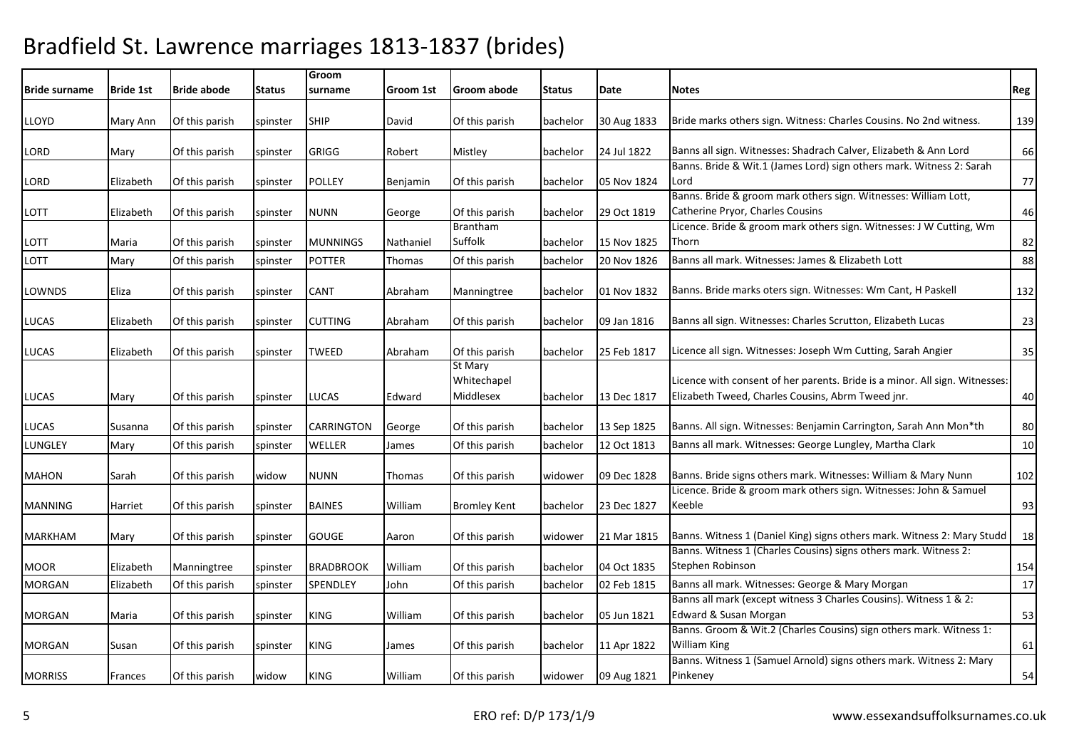| <b>IBride surname</b> | <b>Bride 1st</b> | <b>Bride abode</b> | Status   | Groom<br>surname  | Groom 1st | Groom abode                         | <b>Status</b> | Date        | <b>Notes</b>                                                                                                                     | Reg |
|-----------------------|------------------|--------------------|----------|-------------------|-----------|-------------------------------------|---------------|-------------|----------------------------------------------------------------------------------------------------------------------------------|-----|
| LLOYD                 | Mary Ann         | Of this parish     | spinster | <b>SHIP</b>       | David     | Of this parish                      | bachelor      | 30 Aug 1833 | Bride marks others sign. Witness: Charles Cousins. No 2nd witness.                                                               | 139 |
| LORD                  | Mary             | Of this parish     | spinster | <b>GRIGG</b>      | Robert    | Mistley                             | bachelor      | 24 Jul 1822 | Banns all sign. Witnesses: Shadrach Calver, Elizabeth & Ann Lord                                                                 | 66  |
| LORD                  | Elizabeth        | Of this parish     | spinster | <b>POLLEY</b>     | Benjamin  | Of this parish                      | bachelor      | 05 Nov 1824 | Banns. Bride & Wit.1 (James Lord) sign others mark. Witness 2: Sarah<br>Lord                                                     | 77  |
| LOTT                  | Elizabeth        | Of this parish     | spinster | <b>NUNN</b>       | George    | Of this parish                      | bachelor      | 29 Oct 1819 | Banns. Bride & groom mark others sign. Witnesses: William Lott,<br>Catherine Pryor, Charles Cousins                              | 46  |
| LOTT                  | Maria            | Of this parish     | spinster | <b>MUNNINGS</b>   | Nathaniel | <b>Brantham</b><br>Suffolk          | bachelor      | 15 Nov 1825 | Licence. Bride & groom mark others sign. Witnesses: J W Cutting, Wm<br>Thorn                                                     | 82  |
| LOTT                  | Mary             | Of this parish     | spinster | <b>POTTER</b>     | Thomas    | Of this parish                      | bachelor      | 20 Nov 1826 | Banns all mark. Witnesses: James & Elizabeth Lott                                                                                | 88  |
| LOWNDS                | Eliza            | Of this parish     | spinster | <b>CANT</b>       | Abraham   | Manningtree                         | bachelor      | 01 Nov 1832 | Banns. Bride marks oters sign. Witnesses: Wm Cant, H Paskell                                                                     | 132 |
| LUCAS                 | Elizabeth        | Of this parish     | spinster | <b>CUTTING</b>    | Abraham   | Of this parish                      | bachelor      | 09 Jan 1816 | Banns all sign. Witnesses: Charles Scrutton, Elizabeth Lucas                                                                     | 23  |
| LUCAS                 | Elizabeth        | Of this parish     | spinster | TWEED             | Abraham   | Of this parish                      | bachelor      | 25 Feb 1817 | Licence all sign. Witnesses: Joseph Wm Cutting, Sarah Angier                                                                     | 35  |
| LUCAS                 | Mary             | Of this parish     | spinster | <b>LUCAS</b>      | Edward    | St Mary<br>Whitechapel<br>Middlesex | bachelor      | 13 Dec 1817 | Licence with consent of her parents. Bride is a minor. All sign. Witnesses:<br>Elizabeth Tweed, Charles Cousins, Abrm Tweed jnr. | 40  |
| LUCAS                 | Susanna          | Of this parish     | spinster | <b>CARRINGTON</b> | George    | Of this parish                      | bachelor      | 13 Sep 1825 | Banns. All sign. Witnesses: Benjamin Carrington, Sarah Ann Mon*th                                                                | 80  |
| LUNGLEY               | Mary             | Of this parish     | spinster | WELLER            | James     | Of this parish                      | bachelor      | 12 Oct 1813 | Banns all mark. Witnesses: George Lungley, Martha Clark                                                                          | 10  |
| <b>MAHON</b>          | Sarah            | Of this parish     | widow    | <b>NUNN</b>       | Thomas    | Of this parish                      | widower       | 09 Dec 1828 | Banns. Bride signs others mark. Witnesses: William & Mary Nunn                                                                   | 102 |
| <b>MANNING</b>        | Harriet          | Of this parish     | spinster | <b>BAINES</b>     | William   | <b>Bromley Kent</b>                 | bachelor      | 23 Dec 1827 | Licence. Bride & groom mark others sign. Witnesses: John & Samuel<br>Keeble                                                      | 93  |
| <b>MARKHAM</b>        | Mary             | Of this parish     | spinster | <b>GOUGE</b>      | Aaron     | Of this parish                      | widower       | 21 Mar 1815 | Banns. Witness 1 (Daniel King) signs others mark. Witness 2: Mary Studd                                                          | 18  |
| <b>MOOR</b>           | Elizabeth        | Manningtree        | spinster | <b>BRADBROOK</b>  | William   | Of this parish                      | bachelor      | 04 Oct 1835 | Banns. Witness 1 (Charles Cousins) signs others mark. Witness 2:<br>Stephen Robinson                                             | 154 |
| <b>MORGAN</b>         | Elizabeth        | Of this parish     | spinster | <b>SPENDLEY</b>   | John      | Of this parish                      | bachelor      | 02 Feb 1815 | Banns all mark. Witnesses: George & Mary Morgan                                                                                  | 17  |
| <b>MORGAN</b>         | Maria            | Of this parish     | spinster | <b>KING</b>       | William   | Of this parish                      | bachelor      | 05 Jun 1821 | Banns all mark (except witness 3 Charles Cousins). Witness 1 & 2:<br>Edward & Susan Morgan                                       | 53  |
| <b>MORGAN</b>         | Susan            | Of this parish     | spinster | <b>KING</b>       | James     | Of this parish                      | bachelor      | 11 Apr 1822 | Banns. Groom & Wit.2 (Charles Cousins) sign others mark. Witness 1:<br><b>William King</b>                                       | 61  |
| <b>MORRISS</b>        | Frances          | Of this parish     | widow    | <b>KING</b>       | William   | Of this parish                      | widower       | 09 Aug 1821 | Banns. Witness 1 (Samuel Arnold) signs others mark. Witness 2: Mary<br>Pinkeney                                                  | 54  |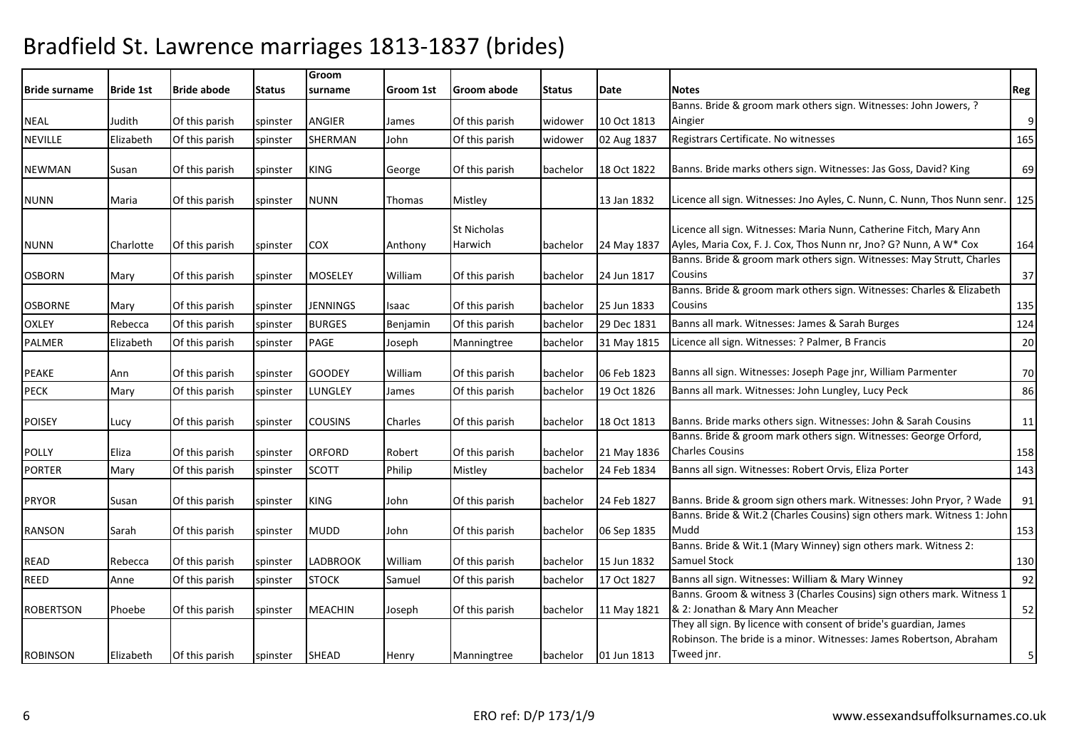| <b>Bride surname</b> | <b>Bride 1st</b> | <b>Bride abode</b> | Status   | Groom<br>surname | Groom 1st | Groom abode                   | <b>Status</b> | Date        | <b>Notes</b>                                                                                                                                           | Reg                     |
|----------------------|------------------|--------------------|----------|------------------|-----------|-------------------------------|---------------|-------------|--------------------------------------------------------------------------------------------------------------------------------------------------------|-------------------------|
|                      |                  |                    |          |                  |           |                               |               |             | Banns. Bride & groom mark others sign. Witnesses: John Jowers, ?                                                                                       |                         |
| NEAL                 | Judith           | Of this parish     | spinster | ANGIER           | James     | Of this parish                | widower       | 10 Oct 1813 | Aingier                                                                                                                                                | $\overline{9}$          |
| <b>NEVILLE</b>       | Elizabeth        | Of this parish     | spinster | <b>SHERMAN</b>   | John      | Of this parish                | widower       | 02 Aug 1837 | Registrars Certificate. No witnesses                                                                                                                   | 165                     |
| <b>NEWMAN</b>        | Susan            | Of this parish     | spinster | KING             | George    | Of this parish                | bachelor      | 18 Oct 1822 | Banns. Bride marks others sign. Witnesses: Jas Goss, David? King                                                                                       | 69                      |
| <b>NUNN</b>          | Maria            | Of this parish     | spinster | <b>NUNN</b>      | Thomas    | Mistley                       |               | 13 Jan 1832 | Licence all sign. Witnesses: Jno Ayles, C. Nunn, C. Nunn, Thos Nunn senr                                                                               | 125                     |
| <b>NUNN</b>          | Charlotte        | Of this parish     | spinster | COX              | Anthony   | <b>St Nicholas</b><br>Harwich | bachelor      | 24 May 1837 | Licence all sign. Witnesses: Maria Nunn, Catherine Fitch, Mary Ann<br>Ayles, Maria Cox, F. J. Cox, Thos Nunn nr, Jno? G? Nunn, A W* Cox                | 164                     |
| <b>OSBORN</b>        | Mary             | Of this parish     | spinster | <b>MOSELEY</b>   | William   | Of this parish                | bachelor      | 24 Jun 1817 | Banns. Bride & groom mark others sign. Witnesses: May Strutt, Charles<br>Cousins                                                                       | 37                      |
| <b>OSBORNE</b>       | Mary             | Of this parish     | spinster | <b>JENNINGS</b>  | Isaac     | Of this parish                | bachelor      | 25 Jun 1833 | Banns. Bride & groom mark others sign. Witnesses: Charles & Elizabeth<br>Cousins                                                                       | 135                     |
| <b>OXLEY</b>         | Rebecca          | Of this parish     | spinster | <b>BURGES</b>    | Benjamin  | Of this parish                | bachelor      | 29 Dec 1831 | Banns all mark. Witnesses: James & Sarah Burges                                                                                                        | 124                     |
| <b>PALMER</b>        | Elizabeth        | Of this parish     | spinster | PAGE             | Joseph    | Manningtree                   | bachelor      | 31 May 1815 | Licence all sign. Witnesses: ? Palmer, B Francis                                                                                                       | 20                      |
| <b>PEAKE</b>         | Ann              | Of this parish     | spinster | <b>GOODEY</b>    | William   | Of this parish                | bachelor      | 06 Feb 1823 | Banns all sign. Witnesses: Joseph Page jnr, William Parmenter                                                                                          | 70                      |
| <b>PECK</b>          | Mary             | Of this parish     | spinster | LUNGLEY          | James     | Of this parish                | bachelor      | 19 Oct 1826 | Banns all mark. Witnesses: John Lungley, Lucy Peck                                                                                                     | 86                      |
| <b>POISEY</b>        | Lucy             | Of this parish     | spinster | <b>COUSINS</b>   | Charles   | Of this parish                | bachelor      | 18 Oct 1813 | Banns. Bride marks others sign. Witnesses: John & Sarah Cousins                                                                                        | 11                      |
| <b>POLLY</b>         | Eliza            | Of this parish     | spinster | <b>ORFORD</b>    | Robert    | Of this parish                | bachelor      | 21 May 1836 | Banns. Bride & groom mark others sign. Witnesses: George Orford,<br><b>Charles Cousins</b>                                                             | 158                     |
| <b>PORTER</b>        | Mary             | Of this parish     | spinster | <b>SCOTT</b>     | Philip    | Mistley                       | bachelor      | 24 Feb 1834 | Banns all sign. Witnesses: Robert Orvis, Eliza Porter                                                                                                  | 143                     |
| <b>PRYOR</b>         | Susan            | Of this parish     | spinster | KING             | John      | Of this parish                | bachelor      | 24 Feb 1827 | Banns. Bride & groom sign others mark. Witnesses: John Pryor, ? Wade                                                                                   | 91                      |
| <b>RANSON</b>        | Sarah            | Of this parish     | spinster | <b>MUDD</b>      | John      | Of this parish                | bachelor      | 06 Sep 1835 | Banns. Bride & Wit.2 (Charles Cousins) sign others mark. Witness 1: John<br>Mudd                                                                       | 153                     |
| <b>READ</b>          | Rebecca          | Of this parish     | spinster | LADBROOK         | William   | Of this parish                | bachelor      | 15 Jun 1832 | Banns. Bride & Wit.1 (Mary Winney) sign others mark. Witness 2:<br><b>Samuel Stock</b>                                                                 | 130                     |
| <b>REED</b>          | Anne             | Of this parish     | spinster | <b>STOCK</b>     | Samuel    | Of this parish                | bachelor      | 17 Oct 1827 | Banns all sign. Witnesses: William & Mary Winney                                                                                                       | 92                      |
| <b>ROBERTSON</b>     | Phoebe           | Of this parish     | spinster | <b>MEACHIN</b>   | Joseph    | Of this parish                | bachelor      | 11 May 1821 | Banns. Groom & witness 3 (Charles Cousins) sign others mark. Witness 1<br>& 2: Jonathan & Mary Ann Meacher                                             | 52                      |
| <b>ROBINSON</b>      | Elizabeth        | Of this parish     | spinster | <b>SHEAD</b>     | Henry     | Manningtree                   | bachelor      | 01 Jun 1813 | They all sign. By licence with consent of bride's guardian, James<br>Robinson. The bride is a minor. Witnesses: James Robertson, Abraham<br>Tweed jnr. | $\overline{\mathbf{5}}$ |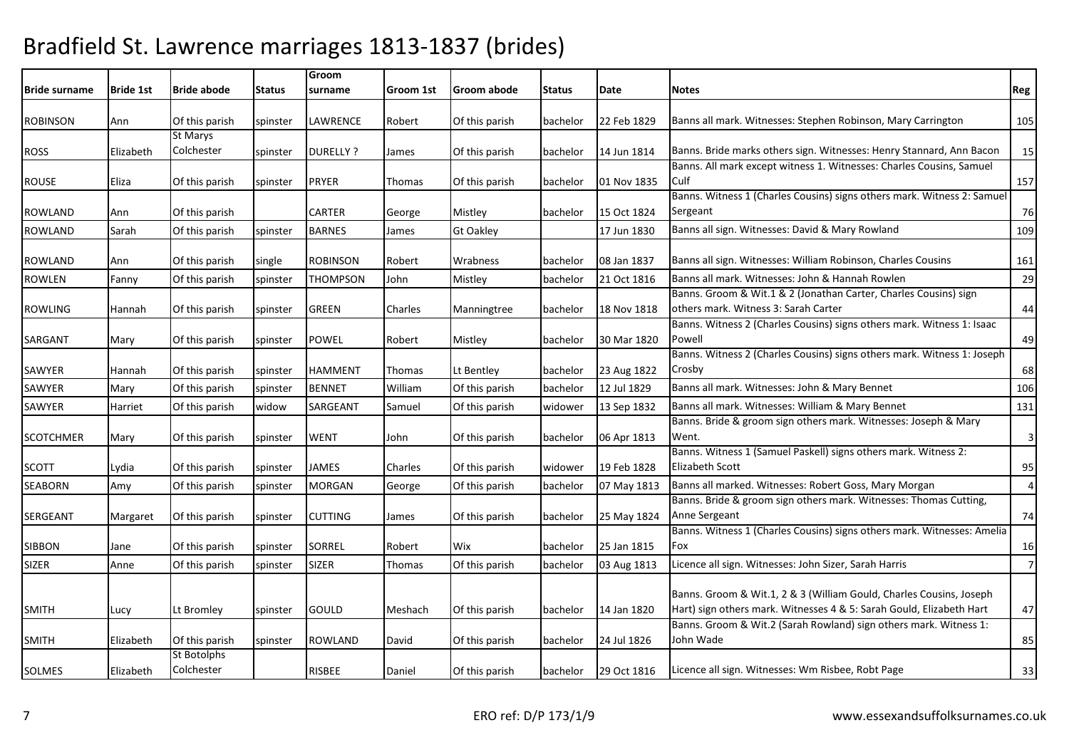| <b>Bride surname</b> | <b>Bride 1st</b> | <b>Bride abode</b>                | <b>Status</b> | Groom<br>surname | Groom 1st | Groom abode      | <b>Status</b> | Date        | <b>Notes</b>                                                                        | Reg                     |
|----------------------|------------------|-----------------------------------|---------------|------------------|-----------|------------------|---------------|-------------|-------------------------------------------------------------------------------------|-------------------------|
|                      |                  |                                   |               |                  |           |                  |               |             |                                                                                     |                         |
| <b>ROBINSON</b>      | Ann              | Of this parish<br><b>St Marys</b> | spinster      | <b>LAWRENCE</b>  | Robert    | Of this parish   | bachelor      | 22 Feb 1829 | Banns all mark. Witnesses: Stephen Robinson, Mary Carrington                        | 105                     |
| <b>ROSS</b>          | Elizabeth        | Colchester                        |               | <b>DURELLY?</b>  |           | Of this parish   | bachelor      | 14 Jun 1814 | Banns. Bride marks others sign. Witnesses: Henry Stannard, Ann Bacon                | 15                      |
|                      |                  |                                   | spinster      |                  | James     |                  |               |             | Banns. All mark except witness 1. Witnesses: Charles Cousins, Samuel                |                         |
| <b>ROUSE</b>         | Eliza            | Of this parish                    | spinster      | <b>PRYER</b>     | Thomas    | Of this parish   | bachelor      | 01 Nov 1835 | Culf                                                                                | 157                     |
| ROWLAND              | Ann              | Of this parish                    |               | <b>CARTER</b>    | George    | Mistley          | bachelor      | 15 Oct 1824 | Banns. Witness 1 (Charles Cousins) signs others mark. Witness 2: Samuel<br>Sergeant | 76                      |
| <b>ROWLAND</b>       | Sarah            | Of this parish                    | spinster      | <b>BARNES</b>    | James     | <b>Gt Oakley</b> |               | 17 Jun 1830 | Banns all sign. Witnesses: David & Mary Rowland                                     | 109                     |
| ROWLAND              | Ann              | Of this parish                    | single        | <b>ROBINSON</b>  | Robert    | Wrabness         | bachelor      | 08 Jan 1837 | Banns all sign. Witnesses: William Robinson, Charles Cousins                        | 161                     |
| <b>ROWLEN</b>        | Fanny            | Of this parish                    | spinster      | <b>THOMPSON</b>  | John      | Mistley          | bachelor      | 21 Oct 1816 | Banns all mark. Witnesses: John & Hannah Rowlen                                     | 29                      |
|                      |                  |                                   |               |                  |           |                  |               |             | Banns. Groom & Wit.1 & 2 (Jonathan Carter, Charles Cousins) sign                    |                         |
| ROWLING              | Hannah           | Of this parish                    | spinster      | <b>GREEN</b>     | Charles   | Manningtree      | bachelor      | 18 Nov 1818 | others mark. Witness 3: Sarah Carter                                                | 44                      |
|                      |                  |                                   |               |                  |           |                  |               |             | Banns. Witness 2 (Charles Cousins) signs others mark. Witness 1: Isaac              |                         |
| SARGANT              | Mary             | Of this parish                    | spinster      | <b>POWEL</b>     | Robert    | Mistley          | bachelor      | 30 Mar 1820 | Powell                                                                              | 49                      |
|                      |                  |                                   |               |                  |           |                  |               |             | Banns. Witness 2 (Charles Cousins) signs others mark. Witness 1: Joseph             |                         |
| SAWYER               | Hannah           | Of this parish                    | spinster      | <b>HAMMENT</b>   | Thomas    | Lt Bentley       | bachelor      | 23 Aug 1822 | Crosby                                                                              | 68                      |
| SAWYER               | Mary             | Of this parish                    | spinster      | <b>BENNET</b>    | William   | Of this parish   | bachelor      | 12 Jul 1829 | Banns all mark. Witnesses: John & Mary Bennet                                       | 106                     |
| SAWYER               | Harriet          | Of this parish                    | widow         | SARGEANT         | Samuel    | Of this parish   | widower       | 13 Sep 1832 | Banns all mark. Witnesses: William & Mary Bennet                                    | 131                     |
|                      |                  |                                   |               |                  |           |                  |               |             | Banns. Bride & groom sign others mark. Witnesses: Joseph & Mary                     |                         |
| <b>SCOTCHMER</b>     | Mary             | Of this parish                    | spinster      | <b>WENT</b>      | John      | Of this parish   | bachelor      | 06 Apr 1813 | Went.                                                                               | $\overline{\mathbf{3}}$ |
|                      |                  |                                   |               |                  |           |                  |               |             | Banns. Witness 1 (Samuel Paskell) signs others mark. Witness 2:                     |                         |
| SCOTT                | Lydia            | Of this parish                    | spinster      | <b>JAMES</b>     | Charles   | Of this parish   | widower       | 19 Feb 1828 | <b>Elizabeth Scott</b>                                                              | 95                      |
| <b>SEABORN</b>       | Amy              | Of this parish                    | spinster      | <b>MORGAN</b>    | George    | Of this parish   | bachelor      | 07 May 1813 | Banns all marked. Witnesses: Robert Goss, Mary Morgan                               | $\overline{4}$          |
|                      |                  |                                   |               |                  |           |                  |               |             | Banns. Bride & groom sign others mark. Witnesses: Thomas Cutting,                   |                         |
| SERGEANT             | Margaret         | Of this parish                    | spinster      | <b>CUTTING</b>   | James     | Of this parish   | bachelor      | 25 May 1824 | Anne Sergeant                                                                       | 74                      |
|                      |                  |                                   |               |                  |           |                  |               |             | Banns. Witness 1 (Charles Cousins) signs others mark. Witnesses: Amelia             |                         |
| <b>SIBBON</b>        | Jane             | Of this parish                    | spinster      | <b>SORREL</b>    | Robert    | Wix              | bachelor      | 25 Jan 1815 | Fox                                                                                 | 16                      |
| <b>SIZER</b>         | Anne             | Of this parish                    | spinster      | <b>SIZER</b>     | Thomas    | Of this parish   | bachelor      | 03 Aug 1813 | Licence all sign. Witnesses: John Sizer, Sarah Harris                               | $7 \frac{1}{2}$         |
|                      |                  |                                   |               |                  |           |                  |               |             | Banns. Groom & Wit.1, 2 & 3 (William Gould, Charles Cousins, Joseph                 |                         |
| <b>SMITH</b>         | Lucy             | Lt Bromley                        | spinster      | <b>GOULD</b>     | Meshach   | Of this parish   | bachelor      | 14 Jan 1820 | Hart) sign others mark. Witnesses 4 & 5: Sarah Gould, Elizabeth Hart                | 47                      |
|                      |                  |                                   |               |                  |           |                  |               |             | Banns. Groom & Wit.2 (Sarah Rowland) sign others mark. Witness 1:                   |                         |
| <b>SMITH</b>         | Elizabeth        | Of this parish                    | spinster      | <b>ROWLAND</b>   | David     | Of this parish   | bachelor      | 24 Jul 1826 | John Wade                                                                           | 85                      |
|                      |                  | St Botolphs                       |               |                  |           |                  |               |             |                                                                                     |                         |
| SOLMES               | Elizabeth        | Colchester                        |               | <b>RISBEE</b>    | Daniel    | Of this parish   | bachelor      | 29 Oct 1816 | Licence all sign. Witnesses: Wm Risbee, Robt Page                                   | 33                      |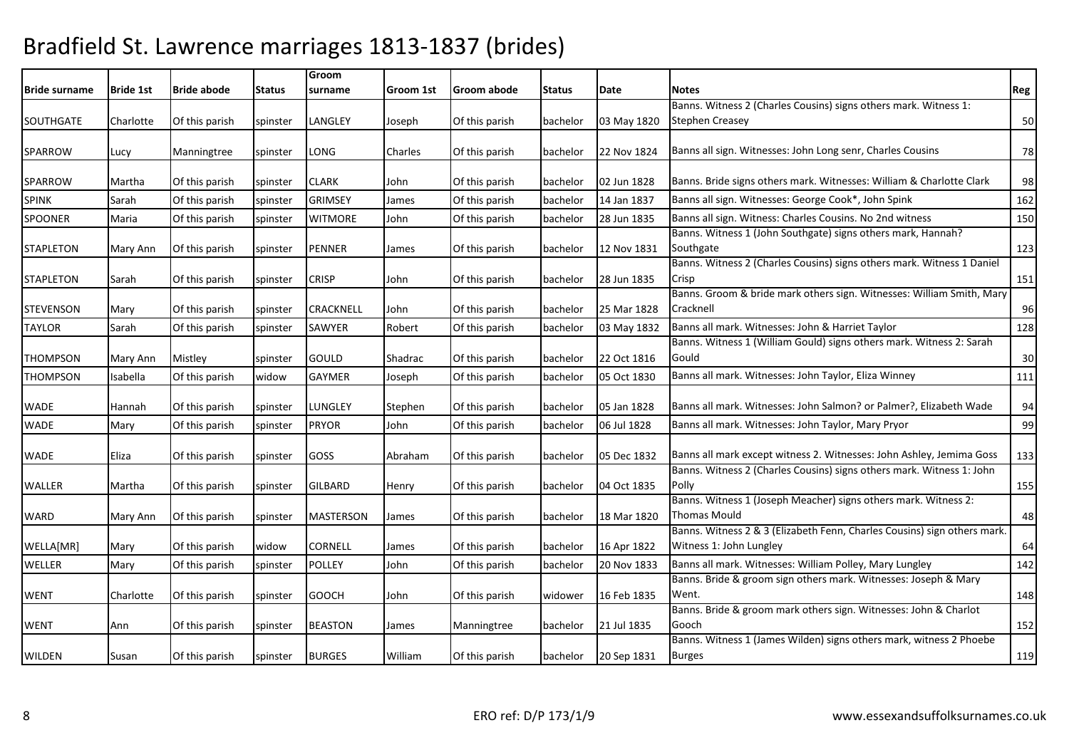| <b>Bride surname</b> | <b>Bride 1st</b> | <b>Bride abode</b> | <b>Status</b> | Groom<br>surname | Groom 1st | Groom abode    | Status   | Date        | <b>Notes</b>                                                                                        | Reg |
|----------------------|------------------|--------------------|---------------|------------------|-----------|----------------|----------|-------------|-----------------------------------------------------------------------------------------------------|-----|
|                      |                  |                    |               |                  |           |                |          |             | Banns. Witness 2 (Charles Cousins) signs others mark. Witness 1:                                    |     |
| <b>SOUTHGATE</b>     | Charlotte        | Of this parish     | spinster      | LANGLEY          | Joseph    | Of this parish | bachelor | 03 May 1820 | <b>Stephen Creasey</b>                                                                              | 50  |
| <b>SPARROW</b>       | Lucy             | Manningtree        | spinster      | LONG             | Charles   | Of this parish | bachelor | 22 Nov 1824 | Banns all sign. Witnesses: John Long senr, Charles Cousins                                          | 78  |
| SPARROW              | Martha           | Of this parish     | spinster      | CLARK            | John      | Of this parish | bachelor | 02 Jun 1828 | Banns. Bride signs others mark. Witnesses: William & Charlotte Clark                                | 98  |
| <b>SPINK</b>         | Sarah            | Of this parish     | spinster      | GRIMSEY          | James     | Of this parish | bachelor | 14 Jan 1837 | Banns all sign. Witnesses: George Cook*, John Spink                                                 | 162 |
| <b>SPOONER</b>       | Maria            | Of this parish     | spinster      | <b>WITMORE</b>   | John      | Of this parish | bachelor | 28 Jun 1835 | Banns all sign. Witness: Charles Cousins. No 2nd witness                                            | 150 |
| <b>STAPLETON</b>     | Mary Ann         | Of this parish     | spinster      | PENNER           | James     | Of this parish | bachelor | 12 Nov 1831 | Banns. Witness 1 (John Southgate) signs others mark, Hannah?<br>Southgate                           | 123 |
| <b>STAPLETON</b>     | Sarah            | Of this parish     | spinster      | CRISP            | John      | Of this parish | bachelor | 28 Jun 1835 | Banns. Witness 2 (Charles Cousins) signs others mark. Witness 1 Daniel<br>Crisp                     | 151 |
| <b>STEVENSON</b>     | Mary             | Of this parish     | spinster      | CRACKNELL        | John      | Of this parish | bachelor | 25 Mar 1828 | Banns. Groom & bride mark others sign. Witnesses: William Smith, Mary<br>Cracknell                  | 96  |
| <b>TAYLOR</b>        | Sarah            | Of this parish     | spinster      | SAWYER           | Robert    | Of this parish | bachelor | 03 May 1832 | Banns all mark. Witnesses: John & Harriet Taylor                                                    | 128 |
| THOMPSON             | Mary Ann         | Mistley            | spinster      | gould            | Shadrac   | Of this parish | bachelor | 22 Oct 1816 | Banns. Witness 1 (William Gould) signs others mark. Witness 2: Sarah<br>Gould                       | 30  |
| <b>THOMPSON</b>      | Isabella         | Of this parish     | widow         | <b>GAYMER</b>    | Joseph    | Of this parish | bachelor | 05 Oct 1830 | Banns all mark. Witnesses: John Taylor, Eliza Winney                                                | 111 |
| WADE                 | Hannah           | Of this parish     | spinster      | LUNGLEY          | Stephen   | Of this parish | bachelor | 05 Jan 1828 | Banns all mark. Witnesses: John Salmon? or Palmer?, Elizabeth Wade                                  | 94  |
| <b>WADE</b>          | Mary             | Of this parish     | spinster      | <b>PRYOR</b>     | John      | Of this parish | bachelor | 06 Jul 1828 | Banns all mark. Witnesses: John Taylor, Mary Pryor                                                  | 99  |
| WADE                 | Eliza            | Of this parish     | spinster      | GOSS             | Abraham   | Of this parish | bachelor | 05 Dec 1832 | Banns all mark except witness 2. Witnesses: John Ashley, Jemima Goss                                | 133 |
| <b>WALLER</b>        | Martha           | Of this parish     | spinster      | GILBARD          | Henry     | Of this parish | bachelor | 04 Oct 1835 | Banns. Witness 2 (Charles Cousins) signs others mark. Witness 1: John<br>Polly                      | 155 |
| WARD                 | Mary Ann         | Of this parish     | spinster      | MASTERSON        | James     | Of this parish | bachelor | 18 Mar 1820 | Banns. Witness 1 (Joseph Meacher) signs others mark. Witness 2:<br>Thomas Mould                     | 48  |
| WELLA[MR]            | Mary             | Of this parish     | widow         | <b>CORNELL</b>   | James     | Of this parish | bachelor | 16 Apr 1822 | Banns. Witness 2 & 3 (Elizabeth Fenn, Charles Cousins) sign others mark.<br>Witness 1: John Lungley | 64  |
| WELLER               | Mary             | Of this parish     | spinster      | POLLEY           | John      | Of this parish | bachelor | 20 Nov 1833 | Banns all mark. Witnesses: William Polley, Mary Lungley                                             | 142 |
| <b>WENT</b>          | Charlotte        | Of this parish     | spinster      | <b>GOOCH</b>     | John      | Of this parish | widower  | 16 Feb 1835 | Banns. Bride & groom sign others mark. Witnesses: Joseph & Mary<br>Went.                            | 148 |
| <b>WENT</b>          | Ann              | Of this parish     | spinster      | <b>BEASTON</b>   | James     | Manningtree    | bachelor | 21 Jul 1835 | Banns. Bride & groom mark others sign. Witnesses: John & Charlot<br>Gooch                           | 152 |
| WILDEN               | Susan            | Of this parish     | spinster      | <b>BURGES</b>    | William   | Of this parish | bachelor | 20 Sep 1831 | Banns. Witness 1 (James Wilden) signs others mark, witness 2 Phoebe<br><b>Burges</b>                | 119 |